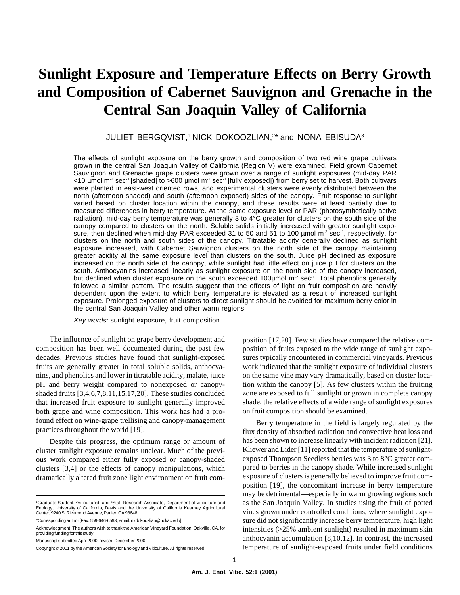# **Sunlight Exposure and Temperature Effects on Berry Growth and Composition of Cabernet Sauvignon and Grenache in the Central San Joaquin Valley of California**

JULIET BERGQVIST,<sup>1</sup> NICK DOKOOZLIAN,<sup>2\*</sup> and NONA EBISUDA<sup>3</sup>

The effects of sunlight exposure on the berry growth and composition of two red wine grape cultivars grown in the central San Joaquin Valley of California (Region V) were examined. Field grown Cabernet Sauvignon and Grenache grape clusters were grown over a range of sunlight exposures (mid-day PAR  $10 \text{ mmol m}^2 \text{ sec}^{-1}$  [shaded] to >600 µmol m<sup>2</sup> sec<sup>-1</sup> [fully exposed]) from berry set to harvest. Both cultivars were planted in east-west oriented rows, and experimental clusters were evenly distributed between the north (afternoon shaded) and south (afternoon exposed) sides of the canopy. Fruit response to sunlight varied based on cluster location within the canopy, and these results were at least partially due to measured differences in berry temperature. At the same exposure level or PAR (photosynthetically active radiation), mid-day berry temperature was generally 3 to 4°C greater for clusters on the south side of the canopy compared to clusters on the north. Soluble solids initially increased with greater sunlight exposure, then declined when mid-day PAR exceeded 31 to 50 and 51 to 100 µmol m<sup>-2</sup> sec<sup>-1</sup>, respectively, for clusters on the north and south sides of the canopy. Titratable acidity generally declined as sunlight exposure increased, with Cabernet Sauvignon clusters on the north side of the canopy maintaining greater acidity at the same exposure level than clusters on the south. Juice pH declined as exposure increased on the north side of the canopy, while sunlight had little effect on juice pH for clusters on the south. Anthocyanins increased linearly as sunlight exposure on the north side of the canopy increased, but declined when cluster exposure on the south exceeded 100 $\mu$ mol m<sup>-2</sup> sec<sup>-1</sup>. Total phenolics generally followed a similar pattern. The results suggest that the effects of light on fruit composition are heavily dependent upon the extent to which berry temperature is elevated as a result of increased sunlight exposure. Prolonged exposure of clusters to direct sunlight should be avoided for maximum berry color in the central San Joaquin Valley and other warm regions.

Key words: sunlight exposure, fruit composition

The influence of sunlight on grape berry development and composition has been well documented during the past few decades. Previous studies have found that sunlight-exposed fruits are generally greater in total soluble solids, anthocyanins, and phenolics and lower in titratable acidity, malate, juice pH and berry weight compared to nonexposed or canopyshaded fruits [3,4,6,7,8,11,15,17,20]. These studies concluded that increased fruit exposure to sunlight generally improved both grape and wine composition. This work has had a profound effect on wine-grape trellising and canopy-management practices throughout the world [19].

Despite this progress, the optimum range or amount of cluster sunlight exposure remains unclear. Much of the previous work compared either fully exposed or canopy-shaded clusters [3,4] or the effects of canopy manipulations, which dramatically altered fruit zone light environment on fruit com-

\*Corresponding author [Fax: 559-646-6593; email: nkdokoozlian@uckac.edu]

position [17,20]. Few studies have compared the relative composition of fruits exposed to the wide range of sunlight exposures typically encountered in commercial vineyards. Previous work indicated that the sunlight exposure of individual clusters on the same vine may vary dramatically, based on cluster location within the canopy [5]. As few clusters within the fruiting zone are exposed to full sunlight or grown in complete canopy shade, the relative effects of a wide range of sunlight exposures on fruit composition should be examined.

Berry temperature in the field is largely regulated by the flux density of absorbed radiation and convective heat loss and has been shown to increase linearly with incident radiation [21]. Kliewer and Lider [11] reported that the temperature of sunlightexposed Thompson Seedless berries was 3 to 8°C greater compared to berries in the canopy shade. While increased sunlight exposure of clusters is generally believed to improve fruit composition [19], the concomitant increase in berry temperature may be detrimental—especially in warm growing regions such as the San Joaquin Valley. In studies using the fruit of potted vines grown under controlled conditions, where sunlight exposure did not significantly increase berry temperature, high light intensities (>25% ambient sunlight) resulted in maximum skin anthocyanin accumulation [8,10,12]. In contrast, the increased temperature of sunlight-exposed fruits under field conditions

<sup>&</sup>lt;sup>1</sup>Graduate Student, <sup>2</sup>Viticulturist, and <sup>3</sup>Staff Research Associate, Department of Viticulture and Enology, University of California, Davis and the University of California Kearney Agricultural Center, 9240 S. Riverbend Avenue, Parlier, CA 93648.

Acknowledgment: The authors wish to thank the American Vineyard Foundation, Oakville, CA, for providing funding for this study.

Manuscript submitted April 2000; revised December 2000

Copyright © 2001 by the American Society for Enology and Viticulture. All rights reserved.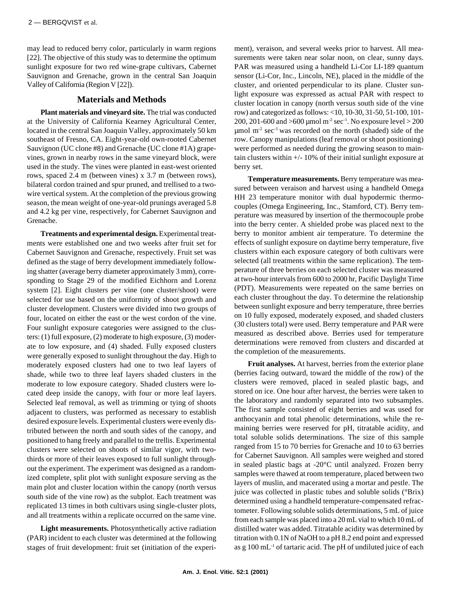may lead to reduced berry color, particularly in warm regions [22]. The objective of this study was to determine the optimum sunlight exposure for two red wine-grape cultivars, Cabernet Sauvignon and Grenache, grown in the central San Joaquin Valley of California (Region V [22]).

## **Materials and Methods**

**Plant materials and vineyard site.** The trial was conducted at the University of California Kearney Agricultural Center, located in the central San Joaquin Valley, approximately 50 km southeast of Fresno, CA. Eight-year-old own-rooted Cabernet Sauvignon (UC clone #8) and Grenache (UC clone #1A) grapevines, grown in nearby rows in the same vineyard block, were used in the study. The vines were planted in east-west oriented rows, spaced 2.4 m (between vines) x 3.7 m (between rows), bilateral cordon trained and spur pruned, and trellised to a twowire vertical system. At the completion of the previous growing season, the mean weight of one-year-old prunings averaged 5.8 and 4.2 kg per vine, respectively, for Cabernet Sauvignon and Grenache.

**Treatments and experimental design.** Experimental treatments were established one and two weeks after fruit set for Cabernet Sauvignon and Grenache, respectively. Fruit set was defined as the stage of berry development immediately following shatter (average berry diameter approximately 3 mm), corresponding to Stage 29 of the modified Eichhorn and Lorenz system [2]. Eight clusters per vine (one cluster/shoot) were selected for use based on the uniformity of shoot growth and cluster development. Clusters were divided into two groups of four, located on either the east or the west cordon of the vine. Four sunlight exposure categories were assigned to the clusters: (1) full exposure, (2) moderate to high exposure, (3) moderate to low exposure, and (4) shaded. Fully exposed clusters were generally exposed to sunlight throughout the day. High to moderately exposed clusters had one to two leaf layers of shade, while two to three leaf layers shaded clusters in the moderate to low exposure category. Shaded clusters were located deep inside the canopy, with four or more leaf layers. Selected leaf removal, as well as trimming or tying of shoots adjacent to clusters, was performed as necessary to establish desired exposure levels. Experimental clusters were evenly distributed between the north and south sides of the canopy, and positioned to hang freely and parallel to the trellis. Experimental clusters were selected on shoots of similar vigor, with twothirds or more of their leaves exposed to full sunlight throughout the experiment. The experiment was designed as a randomized complete, split plot with sunlight exposure serving as the main plot and cluster location within the canopy (north versus south side of the vine row) as the subplot. Each treatment was replicated 13 times in both cultivars using single-cluster plots, and all treatments within a replicate occurred on the same vine.

**Light measurements.** Photosynthetically active radiation (PAR) incident to each cluster was determined at the following stages of fruit development: fruit set (initiation of the experiment), veraison, and several weeks prior to harvest. All measurements were taken near solar noon, on clear, sunny days. PAR was measured using a handheld Li-Cor LI-189 quantum sensor (Li-Cor, Inc., Lincoln, NE), placed in the middle of the cluster, and oriented perpendicular to its plane. Cluster sunlight exposure was expressed as actual PAR with respect to cluster location in canopy (north versus south side of the vine row) and categorized as follows: <10, 10-30, 31-50, 51-100, 101- 200, 201-600 and >600 µmol m<sup>-2</sup> sec<sup>-1</sup>. No exposure level > 200  $\mu$ mol m<sup>-2</sup> sec<sup>-1</sup> was recorded on the north (shaded) side of the row. Canopy manipulations (leaf removal or shoot positioning) were performed as needed during the growing season to maintain clusters within +/- 10% of their initial sunlight exposure at berry set.

**Temperature measurements.** Berry temperature was measured between veraison and harvest using a handheld Omega HH 23 temperature monitor with dual hypodermic thermocouples (Omega Engineering, Inc., Stamford, CT). Berry temperature was measured by insertion of the thermocouple probe into the berry center. A shielded probe was placed next to the berry to monitor ambient air temperature. To determine the effects of sunlight exposure on daytime berry temperature, five clusters within each exposure category of both cultivars were selected (all treatments within the same replication). The temperature of three berries on each selected cluster was measured at two-hour intervals from 600 to 2000 hr, Pacific Daylight Time (PDT). Measurements were repeated on the same berries on each cluster throughout the day. To determine the relationship between sunlight exposure and berry temperature, three berries on 10 fully exposed, moderately exposed, and shaded clusters (30 clusters total) were used. Berry temperature and PAR were measured as described above. Berries used for temperature determinations were removed from clusters and discarded at the completion of the measurements.

**Fruit analyses.** At harvest, berries from the exterior plane (berries facing outward, toward the middle of the row) of the clusters were removed, placed in sealed plastic bags, and stored on ice. One hour after harvest, the berries were taken to the laboratory and randomly separated into two subsamples. The first sample consisted of eight berries and was used for anthocyanin and total phenolic determinations, while the remaining berries were reserved for pH, titratable acidity, and total soluble solids determinations. The size of this sample ranged from 15 to 70 berries for Grenache and 10 to 63 berries for Cabernet Sauvignon. All samples were weighed and stored in sealed plastic bags at -20°C until analyzed. Frozen berry samples were thawed at room temperature, placed between two layers of muslin, and macerated using a mortar and pestle. The juice was collected in plastic tubes and soluble solids (°Brix) determined using a handheld temperature-compensated refractometer. Following soluble solids determinations, 5 mL of juice from each sample was placed into a 20 mL vial to which 10 mL of distilled water was added. Titratable acidity was determined by titration with 0.1N of NaOH to a pH 8.2 end point and expressed as g  $100 \text{ mL}^{-1}$  of tartaric acid. The pH of undiluted juice of each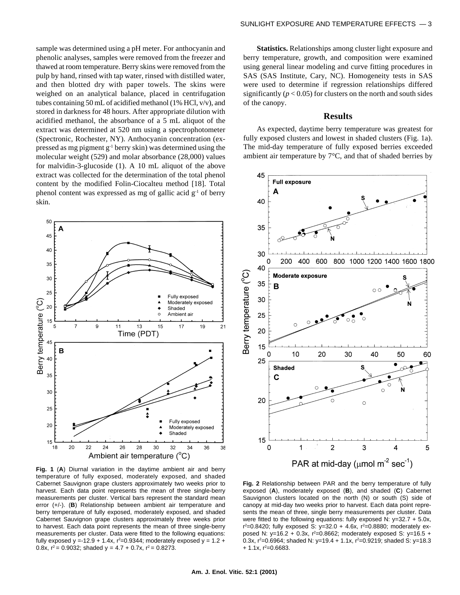sample was determined using a pH meter. For anthocyanin and phenolic analyses, samples were removed from the freezer and thawed at room temperature. Berry skins were removed from the pulp by hand, rinsed with tap water, rinsed with distilled water, and then blotted dry with paper towels. The skins were weighed on an analytical balance, placed in centrifugation tubes containing 50 mL of acidified methanol (1% HCl, v/v), and stored in darkness for 48 hours. After appropriate dilution with acidified methanol, the absorbance of a 5 mL aliquot of the extract was determined at 520 nm using a spectrophotometer (Spectronic, Rochester, NY). Anthocyanin concentration (expressed as mg pigment g-1 berry skin) was determined using the molecular weight (529) and molar absorbance (28,000) values for malvidin-3-glucoside (1). A 10 mL aliquot of the above extract was collected for the determination of the total phenol content by the modified Folin-Ciocalteu method [18]. Total phenol content was expressed as mg of gallic acid  $g^{-1}$  of berry skin.



**Fig. 1** (**A**) Diurnal variation in the daytime ambient air and berry temperature of fully exposed, moderately exposed, and shaded Cabernet Sauvignon grape clusters approximately two weeks prior to harvest. Each data point represents the mean of three single-berry measurements per cluster. Vertical bars represent the standard mean error (+/-). (**B**) Relationship between ambient air temperature and berry temperature of fully exposed, moderately exposed, and shaded Cabernet Sauvignon grape clusters approximately three weeks prior to harvest. Each data point represents the mean of three single-berry measurements per cluster. Data were fitted to the following equations: fully exposed y =-12.9 + 1.4x,  $r^2 = 0.9344$ ; moderately exposed y = 1.2 + 0.8x,  $r^2$  = 0.9032; shaded  $y = 4.7 + 0.7x$ ,  $r^2 = 0.8273$ .

**Statistics.** Relationships among cluster light exposure and berry temperature, growth, and composition were examined using general linear modeling and curve fitting procedures in SAS (SAS Institute, Cary, NC). Homogeneity tests in SAS were used to determine if regression relationships differed significantly  $(p < 0.05)$  for clusters on the north and south sides of the canopy.

#### **Results**

As expected, daytime berry temperature was greatest for fully exposed clusters and lowest in shaded clusters (Fig. 1a). The mid-day temperature of fully exposed berries exceeded ambient air temperature by  $7^{\circ}$ C, and that of shaded berries by



**Fig. 2** Relationship between PAR and the berry temperature of fully exposed (**A**), moderately exposed (**B**), and shaded (**C**) Cabernet Sauvignon clusters located on the north (N) or south (S) side of canopy at mid-day two weeks prior to harvest. Each data point represents the mean of three, single berry measurements per cluster. Data were fitted to the following equations: fully exposed N: y=32.7 + 5.0x,  $r^2$ =0.8420; fully exposed S: y=32.0 + 4.6x,  $r^2$ =0.8880; moderately exposed N: y=16.2 + 0.3x,  $r^2$ =0.8662; moderately exposed S: y=16.5 + 0.3x, r<sup>2</sup>=0.6964; shaded N: y=19.4 + 1.1x, r<sup>2</sup>=0.9219; shaded S: y=18.3  $+$  1.1x, r<sup>2</sup>=0.6683.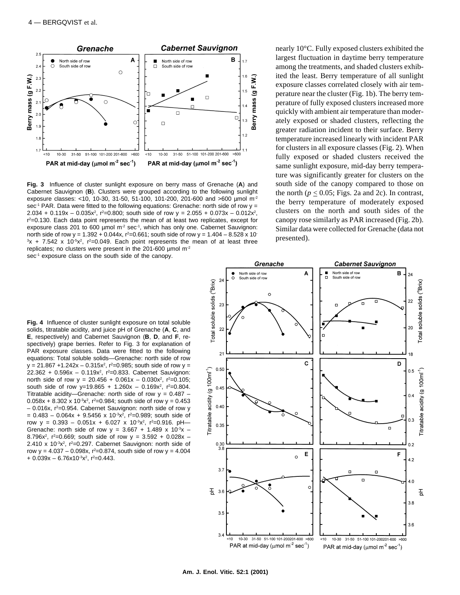

**Fig. 3** Influence of cluster sunlight exposure on berry mass of Grenache (**A**) and Cabernet Sauvignon (**B**). Clusters were grouped according to the following sunlight exposure classes: <10, 10-30, 31-50, 51-100, 101-200, 201-600 and >600 µmol m-2 sec<sup>-1</sup> PAR. Data were fitted to the following equations: Grenache: north side of row y = 2.034 + 0.119x – 0.035x<sup>2</sup>,  $r^2$ =0.800; south side of row y = 2.055 + 0.073x – 0.012x<sup>2</sup>, r 2=0.130. Each data point represents the mean of at least two replicates, except for exposure class 201 to 600  $\mu$ mol m<sup>-2</sup> sec<sup>-1</sup>, which has only one. Cabernet Sauvignon: north side of row y =  $1.392 + 0.044x$ , r<sup>2</sup>=0.661; south side of row y =  $1.404 - 8.528 \times 10^{-1}$  $3x$  + 7.542 x 10 $5x^2$ ,  $r^2$ =0.049. Each point represents the mean of at least three replicates; no clusters were present in the 201-600 µmol m-2 sec<sup>-1</sup> exposure class on the south side of the canopy.

nearly 10°C. Fully exposed clusters exhibited the largest fluctuation in daytime berry temperature among the treatments, and shaded clusters exhibited the least. Berry temperature of all sunlight exposure classes correlated closely with air temperature near the cluster (Fig. 1b). The berry temperature of fully exposed clusters increased more quickly with ambient air temperature than moderately exposed or shaded clusters, reflecting the greater radiation incident to their surface. Berry temperature increased linearly with incident PAR for clusters in all exposure classes (Fig. 2). When fully exposed or shaded clusters received the same sunlight exposure, mid-day berry temperature was significantly greater for clusters on the south side of the canopy compared to those on the north ( $p \le 0.05$ ; Figs. 2a and 2c). In contrast, the berry temperature of moderately exposed clusters on the north and south sides of the canopy rose similarly as PAR increased (Fig. 2b). Similar data were collected for Grenache (data not presented).

**Fig. 4** Influence of cluster sunlight exposure on total soluble solids, titratable acidity, and juice pH of Grenache (**A**, **C**, and **E**, respectively) and Cabernet Sauvignon (**B**, **D**, and **F**, respectively) grape berries. Refer to Fig. 3 for explanation of PAR exposure classes. Data were fitted to the following equations: Total soluble solids—Grenache: north side of row  $y = 21.867 + 1.242x - 0.315x^2$ ,  $r^2 = 0.985$ ; south side of row  $y =$ 22.362 + 0.596x - 0.119x<sup>2</sup>, r<sup>2</sup>=0.833. Cabernet Sauvignon: north side of row y = 20.456 + 0.061x - 0.030x<sup>2</sup>, r<sup>2</sup>=0.105; south side of row y=19.865 + 1.260x - 0.169x<sup>2</sup>,  $r^2=0.804$ . Titratable acidity—Grenache: north side of row  $y = 0.487$  –  $0.058x + 8.302 \times 10^{-3}x^2$ , r<sup>2</sup>=0.984; south side of row y = 0.453  $-$  0.016x,  $r^2$ =0.954. Cabernet Sauvignon: north side of row y  $= 0.483 - 0.064x + 9.5456 x 10^{-3}x^{2}$ , r<sup>2</sup>=0.989; south side of row y =  $0.393 - 0.051x + 6.027 \times 10^{-3}x^2$ , r<sup>2</sup>=0.916. pH— Grenache: north side of row  $y = 3.667 + 1.489 \times 10^{-3}x$  – 8.796x<sup>2</sup>,  $r^2$ =0.669; south side of row  $y = 3.592 + 0.028x$  – 2.410 x  $10^{-3}x^2$ ,  $r^2=0.297$ . Cabernet Sauvignon: north side of row y =  $4.037 - 0.098x$ , r<sup>2</sup>=0.874, south side of row y =  $4.004$  $+$  0.039x – 6.76x10<sup>-3</sup>x<sup>2</sup>, r<sup>2</sup>=0.443.

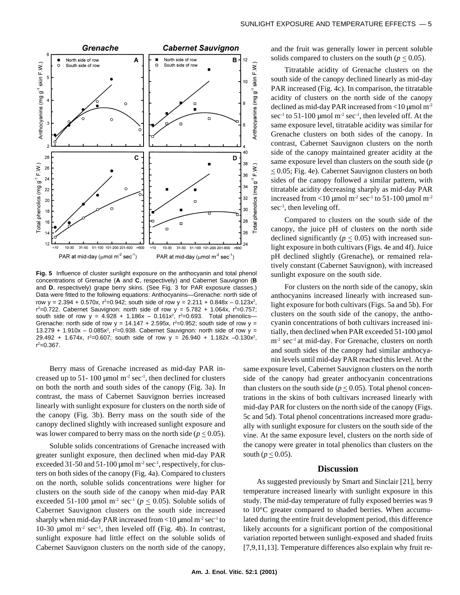

**Fig. 5** Influence of cluster sunlight exposure on the anthocyanin and total phenol concentrations of Grenache (**A** and **C**, respectively) and Cabernet Sauvignon (**B** and **D**, respectively) grape berry skins. (See Fig. 3 for PAR exposure classes.) Data were fitted to the following equations: Anthocyanins—Grenache: north side of row y =  $2.394 + 0.570x$ , r<sup>2</sup>=0.942; south side of row y =  $2.211 + 0.848x - 0.123x^2$ ,  $r^2 = 0.722$ . Cabernet Sauvignon: north side of row  $y = 5.782 + 1.064x$ ,  $r^2 = 0.757$ ; south side of row  $y = 4.928 + 1.186x - 0.161x^2$ ,  $r^2 = 0.693$ . Total phenolics Grenache: north side of row  $y = 14.147 + 2.595x$ ,  $r^2 = 0.952$ ; south side of row  $y =$ 13.279 + 1.910x - 0.085x<sup>2</sup>,  $r^2 = 0.938$ . Cabernet Sauvignon: north side of row y = 29.492 + 1.674x,  $r^2$ =0.607; south side of row y = 26.940 + 1.182x -0.130x<sup>2</sup>,  $r^2 = 0.367$ .

Berry mass of Grenache increased as mid-day PAR increased up to 51- 100 µmol  $m<sup>2</sup>$  sec<sup>-1</sup>, then declined for clusters on both the north and south sides of the canopy (Fig. 3a). In contrast, the mass of Cabernet Sauvignon berries increased linearly with sunlight exposure for clusters on the north side of the canopy (Fig. 3b). Berry mass on the south side of the canopy declined slightly with increased sunlight exposure and was lower compared to berry mass on the north side ( $p \le 0.05$ ).

Soluble solids concentrations of Grenache increased with greater sunlight exposure, then declined when mid-day PAR exceeded 31-50 and 51-100 µmol  $m<sup>2</sup>$  sec<sup>-1</sup>, respectively, for clusters on both sides of the canopy (Fig. 4a). Compared to clusters on the north, soluble solids concentrations were higher for clusters on the south side of the canopy when mid-day PAR exceeded 51-100 µmol m<sup>-2</sup> sec<sup>-1</sup> ( $p \le 0.05$ ). Soluble solids of Cabernet Sauvignon clusters on the south side increased sharply when mid-day PAR increased from <10  $\mu$ mol m<sup>-2</sup> sec<sup>-1</sup> to 10-30  $\mu$ mol m<sup>-2</sup> sec<sup>-1</sup>, then leveled off (Fig. 4b). In contrast, sunlight exposure had little effect on the soluble solids of Cabernet Sauvignon clusters on the north side of the canopy,

and the fruit was generally lower in percent soluble solids compared to clusters on the south ( $p \leq 0.05$ ).

Titratable acidity of Grenache clusters on the south side of the canopy declined linearly as mid-day PAR increased (Fig. 4c). In comparison, the titratable acidity of clusters on the north side of the canopy declined as mid-day PAR increased from  $\lt 10$  µmol m<sup>-2</sup> sec<sup>-1</sup> to 51-100 µmol  $m<sup>-2</sup>$  sec<sup>-1</sup>, then leveled off. At the same exposure level, titratable acidity was similar for Grenache clusters on both sides of the canopy. In contrast, Cabernet Sauvignon clusters on the north side of the canopy maintained greater acidity at the same exposure level than clusters on the south side (*p*  $\leq$  0.05; Fig. 4e). Cabernet Sauvignon clusters on both sides of the canopy followed a similar pattern, with titratable acidity decreasing sharply as mid-day PAR increased from <10 µmol m<sup>-2</sup> sec<sup>-1</sup> to 51-100 µmol m<sup>-2</sup>  $sec^{-1}$ , then leveling off.

Compared to clusters on the south side of the canopy, the juice pH of clusters on the north side declined significantly ( $p \leq 0.05$ ) with increased sunlight exposure in both cultivars (Figs. 4e and 4f). Juice pH declined slightly (Grenache), or remained relatively constant (Cabernet Sauvignon), with increased sunlight exposure on the south side.

For clusters on the north side of the canopy, skin anthocyanins increased linearly with increased sunlight exposure for both cultivars (Figs. 5a and 5b). For clusters on the south side of the canopy, the anthocyanin concentrations of both cultivars increased initially, then declined when PAR exceeded 51-100 µmol  $m<sup>2</sup> sec<sup>-1</sup>$  at mid-day. For Grenache, clusters on north and south sides of the canopy had similar anthocyanin levels until mid-day PAR reached this level. At the

same exposure level, Cabernet Sauvignon clusters on the north side of the canopy had greater anthocyanin concentrations than clusters on the south side ( $p \le 0.05$ ). Total phenol concentrations in the skins of both cultivars increased linearly with mid-day PAR for clusters on the north side of the canopy (Figs. 5c and 5d). Total phenol concentrations increased more gradually with sunlight exposure for clusters on the south side of the vine. At the same exposure level, clusters on the north side of the canopy were greater in total phenolics than clusters on the south ( $p \leq 0.05$ ).

## **Discussion**

As suggested previously by Smart and Sinclair [21], berry temperature increased linearly with sunlight exposure in this study. The mid-day temperature of fully exposed berries was 9 to 10°C greater compared to shaded berries. When accumulated during the entire fruit development period, this difference likely accounts for a significant portion of the compositional variation reported between sunlight-exposed and shaded fruits [7,9,11,13]. Temperature differences also explain why fruit re-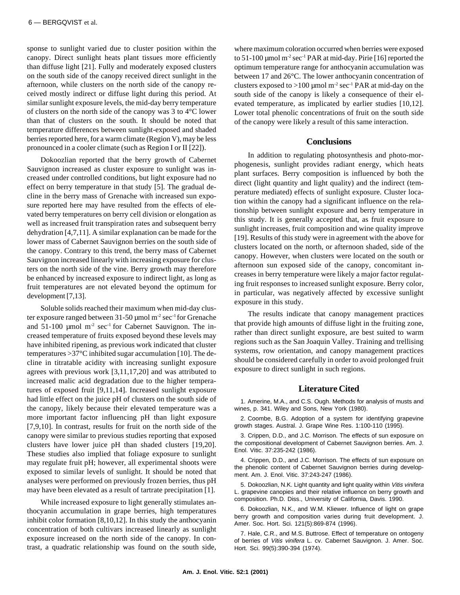sponse to sunlight varied due to cluster position within the canopy. Direct sunlight heats plant tissues more efficiently than diffuse light [21]. Fully and moderately exposed clusters on the south side of the canopy received direct sunlight in the afternoon, while clusters on the north side of the canopy received mostly indirect or diffuse light during this period. At similar sunlight exposure levels, the mid-day berry temperature of clusters on the north side of the canopy was 3 to 4°C lower than that of clusters on the south. It should be noted that temperature differences between sunlight-exposed and shaded berries reported here, for a warm climate (Region V), may be less pronounced in a cooler climate (such as Region I or II [22]).

Dokoozlian reported that the berry growth of Cabernet Sauvignon increased as cluster exposure to sunlight was increased under controlled conditions, but light exposure had no effect on berry temperature in that study [5]. The gradual decline in the berry mass of Grenache with increased sun exposure reported here may have resulted from the effects of elevated berry temperatures on berry cell division or elongation as well as increased fruit transpiration rates and subsequent berry dehydration [4,7,11]. A similar explanation can be made for the lower mass of Cabernet Sauvignon berries on the south side of the canopy. Contrary to this trend, the berry mass of Cabernet Sauvignon increased linearly with increasing exposure for clusters on the north side of the vine. Berry growth may therefore be enhanced by increased exposure to indirect light, as long as fruit temperatures are not elevated beyond the optimum for development [7,13].

Soluble solids reached their maximum when mid-day cluster exposure ranged between 31-50 µmol m-2 sec-1 for Grenache and  $51-100$  µmol m<sup>-2</sup> sec<sup>-1</sup> for Cabernet Sauvignon. The increased temperature of fruits exposed beyond these levels may have inhibited ripening, as previous work indicated that cluster temperatures >37°C inhibited sugar accumulation [10]. The decline in titratable acidity with increasing sunlight exposure agrees with previous work [3,11,17,20] and was attributed to increased malic acid degradation due to the higher temperatures of exposed fruit [9,11,14]. Increased sunlight exposure had little effect on the juice pH of clusters on the south side of the canopy, likely because their elevated temperature was a more important factor influencing pH than light exposure [7,9,10]. In contrast, results for fruit on the north side of the canopy were similar to previous studies reporting that exposed clusters have lower juice pH than shaded clusters [19,20]. These studies also implied that foliage exposure to sunlight may regulate fruit pH; however, all experimental shoots were exposed to similar levels of sunlight. It should be noted that analyses were performed on previously frozen berries, thus pH may have been elevated as a result of tartrate precipitation [1].

While increased exposure to light generally stimulates anthocyanin accumulation in grape berries, high temperatures inhibit color formation [8,10,12]. In this study the anthocyanin concentration of both cultivars increased linearly as sunlight exposure increased on the north side of the canopy. In contrast, a quadratic relationship was found on the south side, where maximum coloration occurred when berries were exposed to  $51-100$  µmol m<sup>-2</sup> sec<sup>-1</sup> PAR at mid-day. Pirie [16] reported the optimum temperature range for anthocyanin accumulation was between 17 and 26°C. The lower anthocyanin concentration of clusters exposed to >100 µmol  $m<sup>2</sup> sec<sup>-1</sup> PAR$  at mid-day on the south side of the canopy is likely a consequence of their elevated temperature, as implicated by earlier studies [10,12]. Lower total phenolic concentrations of fruit on the south side of the canopy were likely a result of this same interaction.

#### **Conclusions**

In addition to regulating photosynthesis and photo-morphogenesis, sunlight provides radiant energy, which heats plant surfaces. Berry composition is influenced by both the direct (light quantity and light quality) and the indirect (temperature mediated) effects of sunlight exposure. Cluster location within the canopy had a significant influence on the relationship between sunlight exposure and berry temperature in this study. It is generally accepted that, as fruit exposure to sunlight increases, fruit composition and wine quality improve [19]. Results of this study were in agreement with the above for clusters located on the north, or afternoon shaded, side of the canopy. However, when clusters were located on the south or afternoon sun exposed side of the canopy, concomitant increases in berry temperature were likely a major factor regulating fruit responses to increased sunlight exposure. Berry color, in particular, was negatively affected by excessive sunlight exposure in this study.

The results indicate that canopy management practices that provide high amounts of diffuse light in the fruiting zone, rather than direct sunlight exposure, are best suited to warm regions such as the San Joaquin Valley. Training and trellising systems, row orientation, and canopy management practices should be considered carefully in order to avoid prolonged fruit exposure to direct sunlight in such regions.

## **Literature Cited**

1. Amerine, M.A., and C.S. Ough. Methods for analysis of musts and wines, p. 341. Wiley and Sons, New York (1980).

2. Coombe, B.G. Adoption of a system for identifying grapevine growth stages. Austral. J. Grape Wine Res. 1:100-110 (1995).

3. Crippen, D.D., and J.C. Morrison. The effects of sun exposure on the compositional development of Cabernet Sauvignon berries. Am. J. Enol. Vitic. 37:235-242 (1986).

4. Crippen, D.D., and J.C. Morrison. The effects of sun exposure on the phenolic content of Cabernet Sauvignon berries during development. Am. J. Enol. Vitic. 37:243-247 (1986).

5. Dokoozlian, N.K. Light quantity and light quality within Vitis vinifera L. grapevine canopies and their relative influence on berry growth and composition. Ph.D. Diss., University of California, Davis. 1990.

6. Dokoozlian, N.K., and W.M. Kliewer. Influence of light on grape berry growth and composition varies during fruit development. J. Amer. Soc. Hort. Sci. 121(5):869-874 (1996).

7. Hale, C.R., and M.S. Buttrose. Effect of temperature on ontogeny of berries of Vitis vinifera L. cv. Cabernet Sauvignon. J. Amer. Soc. Hort. Sci. 99(5):390-394 (1974).